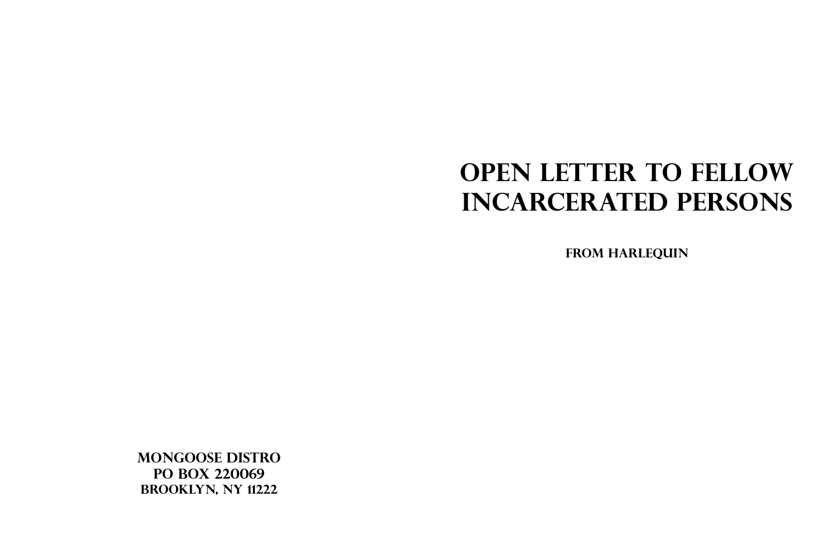## **OPEN LETTER TO FELLOW INCARCERATED PERSONS**

**MONGOOSE DISTRO** PO BOX 220069 **BROOKLYN, NY 11222** 

## FROM HARLEQUIN